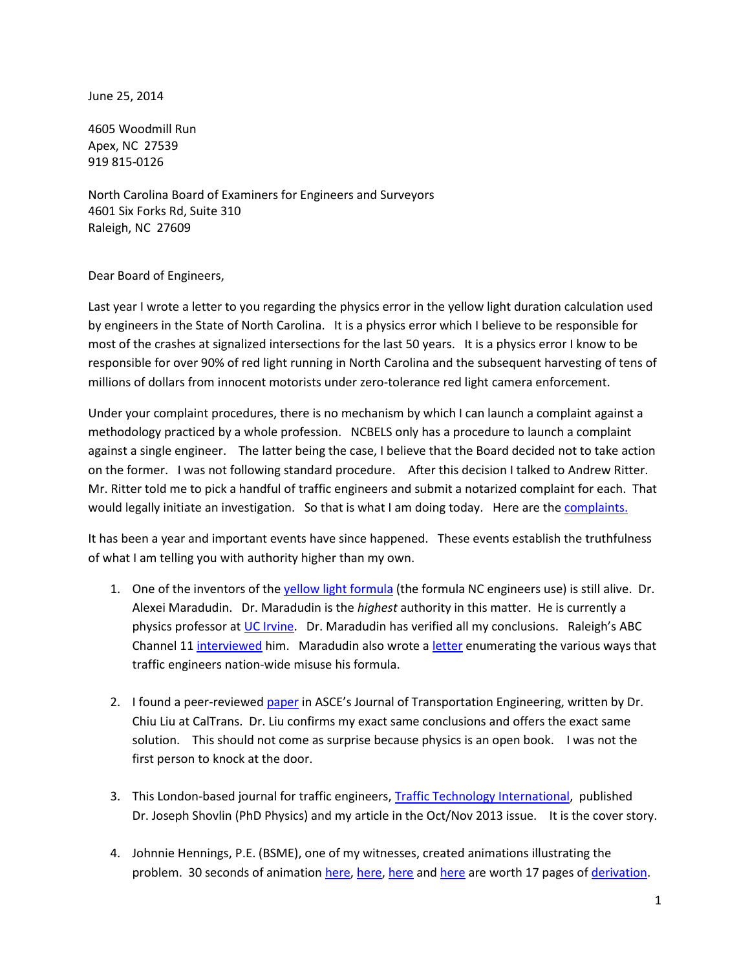June 25, 2014

4605 Woodmill Run Apex, NC 27539 919 815-0126

North Carolina Board of Examiners for Engineers and Surveyors 4601 Six Forks Rd, Suite 310 Raleigh, NC 27609

Dear Board of Engineers,

Last year I wrote a letter to you regarding the physics error in the yellow light duration calculation used by engineers in the State of North Carolina. It is a physics error which I believe to be responsible for most of the crashes at signalized intersections for the last 50 years. It is a physics error I know to be responsible for over 90% of red light running in North Carolina and the subsequent harvesting of tens of millions of dollars from innocent motorists under zero-tolerance red light camera enforcement.

Under your complaint procedures, there is no mechanism by which I can launch a complaint against a methodology practiced by a whole profession. NCBELS only has a procedure to launch a complaint against a single engineer. The latter being the case, I believe that the Board decided not to take action on the former. I was not following standard procedure. After this decision I talked to Andrew Ritter. Mr. Ritter told me to pick a handful of traffic engineers and submit a notarized complaint for each. That would legally initiate an investigation. So that is what I am doing today. Here are the [complaints.](http://redlightrobber.com/red/links_pdf/North-Carolina-Board-of-Engineers-Complaint-He-Template.pdf)

It has been a year and important events have since happened. These events establish the truthfulness of what I am telling you with authority higher than my own.

- 1. One of the inventors of the [yellow light formula](http://redlightrobber.com/red/links_pdf/The-Problem-of-the-Amber-Signal-Light-in-Traffic-Flow.pdf) (the formula NC engineers use) is still alive. Dr. Alexei Maradudin. Dr. Maradudin is the *highest* authority in this matter. He is currently a physics professor at [UC Irvine.](http://www.faculty.uci.edu/profile.cfm?faculty_id=2716) Dr. Maradudin has verified all my conclusions. Raleigh's ABC Channel 11 [interviewed](http://abclocal.go.com/wtvd/story?section=news/abc11_investigates&id=9528169) him. Maradudin also wrote a [letter](http://redlightrobber.com/red/links_pdf/Yellow-Change-Interval-Dos-and-Donts-Alexei-Maradudin.pdf) enumerating the various ways that traffic engineers nation-wide misuse his formula.
- 2. I found a peer-reviewed [paper](http://redlightrobber.com/red/links_pdf/Determination-of-Left-Turn-Yellow-Change-and-Red-Clearance-Interval.pdf) in ASCE's Journal of Transportation Engineering, written by Dr. Chiu Liu at CalTrans. Dr. Liu confirms my exact same conclusions and offers the exact same solution. This should not come as surprise because physics is an open book. I was not the first person to knock at the door.
- 3. This London-based journal for traffic engineers, [Traffic Technology International,](http://redlightrobber.com/red/links_pdf/traffic-technology-international-yellow-change-interval-2013-10-11-article.pdf) published Dr. Joseph Shovlin (PhD Physics) and my article in the Oct/Nov 2013 issue. It is the cover story.
- 4. Johnnie Hennings, P.E. (BSME), one of my witnesses, created animations illustrating the problem. 30 seconds of animatio[n here,](http://youtu.be/heGjWQVcP9M) [here,](http://youtu.be/83h_cvLlC1w) [here](http://youtu.be/CyQQ_4RhzAE) and [here](http://youtu.be/mGRP0_PLpFU) are worth 17 pages of [derivation.](http://redlightrobber.com/red/links_pdf/Yellow-Light-Duration-Derivation.pdf)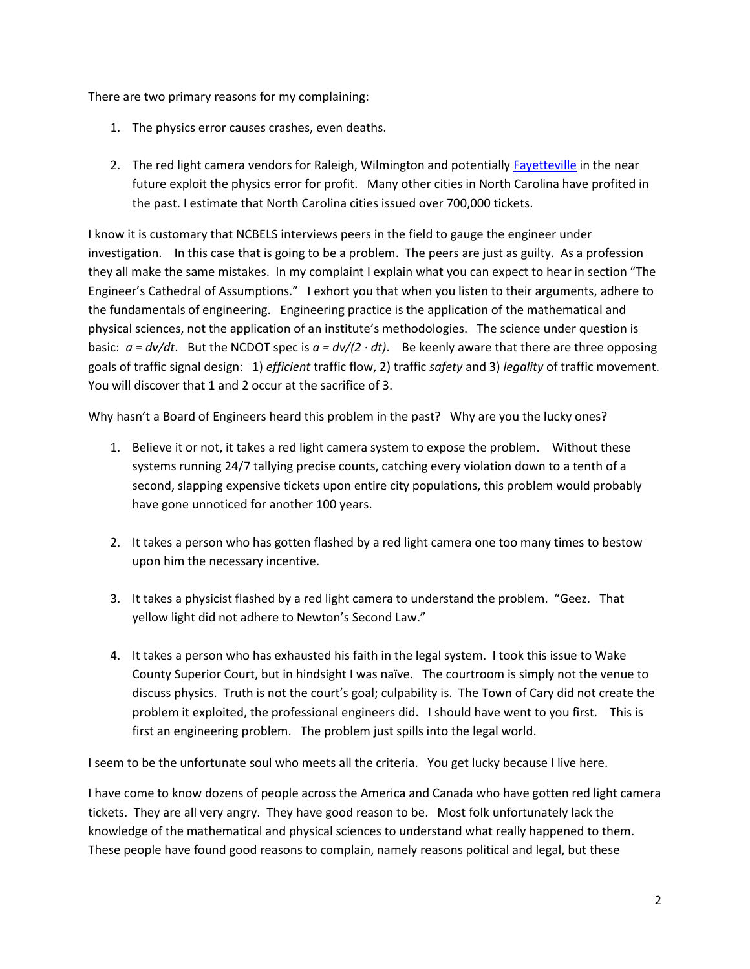There are two primary reasons for my complaining:

- 1. The physics error causes crashes, even deaths.
- 2. The red light camera vendors for Raleigh, Wilmington and potentially [Fayetteville](http://www.fayobserver.com/news/local/article_4653693f-f4f2-5d72-9af8-d474eef90a17.html) in the near future exploit the physics error for profit. Many other cities in North Carolina have profited in the past. I estimate that North Carolina cities issued over 700,000 tickets.

I know it is customary that NCBELS interviews peers in the field to gauge the engineer under investigation. In this case that is going to be a problem. The peers are just as guilty. As a profession they all make the same mistakes. In my complaint I explain what you can expect to hear in section "The Engineer's Cathedral of Assumptions." I exhort you that when you listen to their arguments, adhere to the fundamentals of engineering. Engineering practice is the application of the mathematical and physical sciences, not the application of an institute's methodologies. The science under question is basic:  $a = dv/dt$ . But the NCDOT spec is  $a = dv/(2 \cdot dt)$ . Be keenly aware that there are three opposing goals of traffic signal design: 1) *efficient* traffic flow, 2) traffic *safety* and 3) *legality* of traffic movement. You will discover that 1 and 2 occur at the sacrifice of 3.

Why hasn't a Board of Engineers heard this problem in the past? Why are you the lucky ones?

- 1. Believe it or not, it takes a red light camera system to expose the problem. Without these systems running 24/7 tallying precise counts, catching every violation down to a tenth of a second, slapping expensive tickets upon entire city populations, this problem would probably have gone unnoticed for another 100 years.
- 2. It takes a person who has gotten flashed by a red light camera one too many times to bestow upon him the necessary incentive.
- 3. It takes a physicist flashed by a red light camera to understand the problem. "Geez. That yellow light did not adhere to Newton's Second Law."
- 4. It takes a person who has exhausted his faith in the legal system. I took this issue to Wake County Superior Court, but in hindsight I was naïve. The courtroom is simply not the venue to discuss physics. Truth is not the court's goal; culpability is. The Town of Cary did not create the problem it exploited, the professional engineers did. I should have went to you first. This is first an engineering problem. The problem just spills into the legal world.

I seem to be the unfortunate soul who meets all the criteria. You get lucky because I live here.

I have come to know dozens of people across the America and Canada who have gotten red light camera tickets. They are all very angry. They have good reason to be. Most folk unfortunately lack the knowledge of the mathematical and physical sciences to understand what really happened to them. These people have found good reasons to complain, namely reasons political and legal, but these